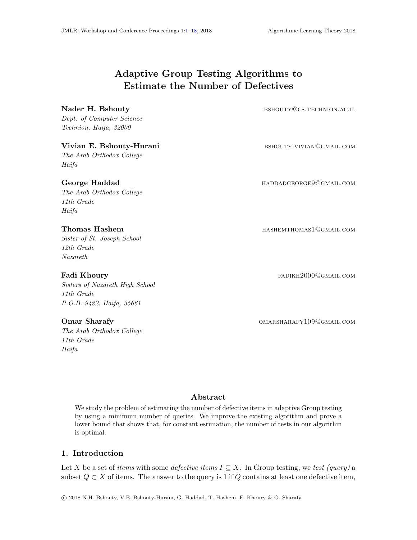# Adaptive Group Testing Algorithms to Estimate the Number of Defectives

Dept. of Computer Science Technion, Haifa, 32000

### Vivian E. Bshouty-Hurani bshouty.vivian@gmail.com

The Arab Orthodox College Haifa

The Arab Orthodox College 11th Grade Haifa

Sister of St. Joseph School 12th Grade Nazareth

Sisters of Nazareth High School 11th Grade P.O.B. 9422, Haifa, 35661

The Arab Orthodox College 11th Grade Haifa

<span id="page-0-0"></span>Nader H. Bshouty **but all a struck and a set of the set of the set of the set of the set of the set of the set of the set of the set of the set of the set of the set of the set of the set of the set of the set of the set o** 

George Haddad **haddad** haddad haddadaan haddadaan haddadaan haddadaan haddadaan haddadaan haddadaan haddada haddada haddaan haddada haddaan haddadaan haddadaan haddadaan haddadaan haddadaan haddadaan haddadaan haddadaan ha

Thomas Hashem **hashem hashem hashem hashem hashem hashem hashem hashem hashem hashem hashem hashem hashem hashem hashem hashem hashem hashem hashem hashem hashem hashem hashem hashem hashem hashem hashem hashem hashem ha** 

Fadi Khoury **Fadi Khoury Fadi Khoury Fadi Khoury Fadi Khoury Fadi Khoury Fadi Khoury Fadi Khoury Fadi Khoury Fadi Khoury Fadi Khoury Fadi Khoury Fadi Khoury Fadi Khoury Fadi Khoury Fadi Khoury**

Omar Sharafy **Omar Sharafy OMARSHARAFY109@GMAIL.COM** 

# Abstract

We study the problem of estimating the number of defective items in adaptive Group testing by using a minimum number of queries. We improve the existing algorithm and prove a lower bound that shows that, for constant estimation, the number of tests in our algorithm is optimal.

# 1. Introduction

Let X be a set of items with some defective items  $I \subseteq X$ . In Group testing, we test (query) a subset  $Q \subset X$  of items. The answer to the query is 1 if Q contains at least one defective item,

c 2018 N.H. Bshouty, V.E. Bshouty-Hurani, G. Haddad, T. Hashem, F. Khoury & O. Sharafy.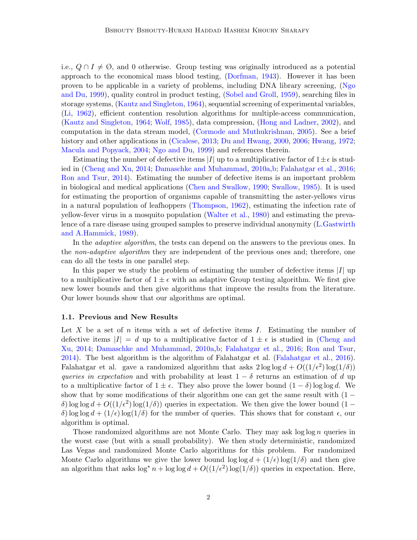i.e.,  $Q \cap I \neq \emptyset$ , and 0 otherwise. Group testing was originally introduced as a potential approach to the economical mass blood testing, [\(Dorfman,](#page-12-0) [1943\)](#page-12-0). However it has been proven to be applicable in a variety of problems, including DNA library screening, [\(Ngo](#page-13-0) [and Du,](#page-13-0) [1999\)](#page-13-0), quality control in product testing, [\(Sobel and Groll,](#page-13-1) [1959\)](#page-13-1), searching files in storage systems, [\(Kautz and Singleton,](#page-13-2) [1964\)](#page-13-2), sequential screening of experimental variables, [\(Li,](#page-13-3) [1962\)](#page-13-3), efficient contention resolution algorithms for multiple-access communication, [\(Kautz and Singleton,](#page-13-2) [1964;](#page-13-2) [Wolf,](#page-13-4) [1985\)](#page-13-4), data compression, [\(Hong and Ladner,](#page-12-1) [2002\)](#page-12-1), and computation in the data stream model, [\(Cormode and Muthukrishnan,](#page-12-2) [2005\)](#page-12-2). See a brief history and other applications in [\(Cicalese,](#page-12-3) [2013;](#page-12-3) [Du and Hwang,](#page-12-4) [2000,](#page-12-4) [2006;](#page-12-5) [Hwang,](#page-12-6) [1972;](#page-12-6) [Macula and Popyack,](#page-13-5) [2004;](#page-13-5) [Ngo and Du,](#page-13-0) [1999\)](#page-13-0) and references therein.

Estimating the number of defective items |I| up to a multiplicative factor of  $1 \pm \epsilon$  is studied in [\(Cheng and Xu,](#page-11-0) [2014;](#page-11-0) [Damaschke and Muhammad,](#page-12-7) [2010a,](#page-12-7)[b;](#page-12-8) [Falahatgar et al.,](#page-12-9) [2016;](#page-12-9) [Ron and Tsur,](#page-13-6) [2014\)](#page-13-6). Estimating the number of defective items is an important problem in biological and medical applications [\(Chen and Swallow,](#page-11-1) [1990;](#page-11-1) [Swallow,](#page-13-7) [1985\)](#page-13-7). It is used for estimating the proportion of organisms capable of transmitting the aster-yellows virus in a natural population of leafhoppers [\(Thompson,](#page-13-8) [1962\)](#page-13-8), estimating the infection rate of yellow-fever virus in a mosquito population [\(Walter et al.,](#page-13-9) [1980\)](#page-13-9) and estimating the prevalence of a rare disease using grouped samples to preserve individual anonymity [\(L.Gastwirth](#page-13-10) [and A.Hammick,](#page-13-10) [1989\)](#page-13-10).

In the *adaptive algorithm*, the tests can depend on the answers to the previous ones. In the *non-adaptive algorithm* they are independent of the previous ones and; therefore, one can do all the tests in one parallel step.

In this paper we study the problem of estimating the number of defective items  $|I|$  up to a multiplicative factor of  $1 \pm \epsilon$  with an adaptive Group testing algorithm. We first give new lower bounds and then give algorithms that improve the results from the literature. Our lower bounds show that our algorithms are optimal.

#### <span id="page-1-0"></span>1.1. Previous and New Results

Let X be a set of n items with a set of defective items  $I$ . Estimating the number of defective items  $|I| = d$  up to a multiplicative factor of  $1 \pm \epsilon$  is studied in [\(Cheng and](#page-11-0) [Xu,](#page-11-0) [2014;](#page-11-0) [Damaschke and Muhammad,](#page-12-7) [2010a,](#page-12-7)[b;](#page-12-8) [Falahatgar et al.,](#page-12-9) [2016;](#page-12-9) [Ron and Tsur,](#page-13-6) [2014\)](#page-13-6). The best algorithm is the algorithm of Falahatgar et al. [\(Falahatgar et al.,](#page-12-9) [2016\)](#page-12-9). Falahatgar et al. gave a randomized algorithm that asks  $2 \log \log d + O((1/\epsilon^2) \log(1/\delta))$ queries in expectation and with probability at least  $1 - \delta$  returns an estimation of d up to a multiplicative factor of  $1 \pm \epsilon$ . They also prove the lower bound  $(1 - \delta) \log \log d$ . We show that by some modifications of their algorithm one can get the same result with  $(1$ δ) log log  $d + O((1/\epsilon^2) \log(1/\delta))$  queries in expectation. We then give the lower bound  $(1$ δ) log log  $d + (1/\epsilon) \log(1/\delta)$  for the number of queries. This shows that for constant  $\epsilon$ , our algorithm is optimal.

Those randomized algorithms are not Monte Carlo. They may ask  $\log \log n$  queries in the worst case (but with a small probability). We then study deterministic, randomized Las Vegas and randomized Monte Carlo algorithms for this problem. For randomized Monte Carlo algorithms we give the lower bound  $\log \log d + (1/\epsilon) \log(1/\delta)$  and then give an algorithm that asks  $\log^* n + \log \log d + O((1/\epsilon^2) \log(1/\delta))$  queries in expectation. Here,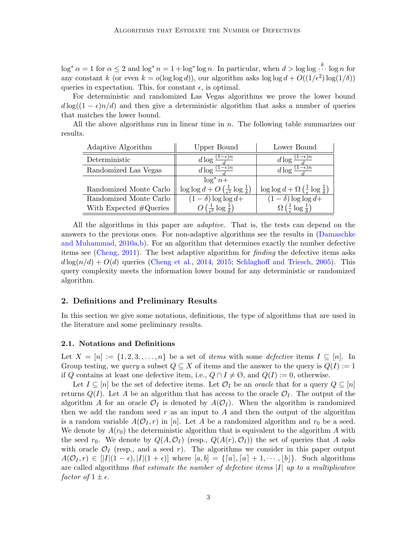$\log^* \alpha = 1$  for  $\alpha \leq 2$  and  $\log^* n = 1 + \log^* \log n$ . In particular, when  $d > \log \log \frac{k}{n}$  log n for any constant k (or even  $k = o(\log \log d)$ ), our algorithm asks  $\log \log d + O((1/\epsilon^2) \log(1/\delta))$ queries in expectation. This, for constant  $\epsilon$ , is optimal.

For deterministic and randomized Las Vegas algorithms we prove the lower bound  $d \log((1 - \epsilon)n/d)$  and then give a deterministic algorithm that asks a number of queries that matches the lower bound.

All the above algorithms run in linear time in n. The following table summarizes our results.

| Adaptive Algorithm               | Upper Bound                                                              | Lower Bound                                                                  |
|----------------------------------|--------------------------------------------------------------------------|------------------------------------------------------------------------------|
| Deterministic                    | $d\log\frac{(1-\epsilon)}{2}$                                            | $-\epsilon$ )n<br>d $\log \frac{1}{2}$                                       |
| Randomized Las Vegas             | d log $\frac{(1-\epsilon)\overline{n}}{l}$                               | $d\log\frac{(1-\epsilon)n}{l}$                                               |
|                                  | $\log^* n +$                                                             |                                                                              |
| Randomized Monte Carlo           | $\log \log d + O\left(\frac{1}{\epsilon^2} \log \frac{1}{\delta}\right)$ | $\log \log d + \Omega \left(\frac{1}{\epsilon} \log \frac{1}{\delta}\right)$ |
| Randomized Monte Carlo           | $(1 - \delta) \log \log d +$                                             | $(1 - \delta) \log \log d +$                                                 |
| With Expected $\#\text{Queries}$ | $O\left(\frac{1}{z^2}\log\frac{1}{\delta}\right)$                        | $\Omega\left(\frac{1}{\epsilon}\log\frac{1}{\lambda}\right)$                 |

All the algorithms in this paper are adaptive. That is, the tests can depend on the answers to the previous ones. For non-adaptive algorithms see the results in [\(Damaschke](#page-12-7) [and Muhammad,](#page-12-7) [2010a,](#page-12-7)[b\)](#page-12-8). For an algorithm that determines exactly the number defective items see [\(Cheng,](#page-11-2) [2011\)](#page-11-2). The best adaptive algorithm for finding the defective items asks  $d \log(n/d) + O(d)$  queries [\(Cheng et al.,](#page-12-10) [2014,](#page-12-10) [2015;](#page-12-11) [Schlaghoff and Triesch,](#page-13-11) [2005\)](#page-13-11). This query complexity meets the information lower bound for any deterministic or randomized algorithm.

# 2. Definitions and Preliminary Results

In this section we give some notations, definitions, the type of algorithms that are used in the literature and some preliminary results.

#### 2.1. Notations and Definitions

Let  $X = [n] := \{1, 2, 3, \ldots, n\}$  be a set of *items* with some *defective* items  $I \subseteq [n]$ . In Group testing, we *query* a subset  $Q \subseteq X$  of items and the answer to the query is  $Q(I) := 1$ if Q contains at least one defective item, i.e.,  $Q \cap I \neq \emptyset$ , and  $Q(I) := 0$ , otherwise.

Let  $I \subseteq [n]$  be the set of defective items. Let  $\mathcal{O}_I$  be an *oracle* that for a query  $Q \subseteq [n]$ returns  $Q(I)$ . Let A be an algorithm that has access to the oracle  $\mathcal{O}_I$ . The output of the algorithm A for an oracle  $\mathcal{O}_I$  is denoted by  $A(\mathcal{O}_I)$ . When the algorithm is randomized then we add the random seed  $r$  as an input to  $A$  and then the output of the algorithm is a random variable  $A(\mathcal{O}_I, r)$  in [n]. Let A be a randomized algorithm and  $r_0$  be a seed. We denote by  $A(r_0)$  the deterministic algorithm that is equivalent to the algorithm A with the seed  $r_0$ . We denote by  $Q(A, \mathcal{O}_I)$  (resp.,  $Q(A(r), \mathcal{O}_I)$ ) the set of queries that A asks with oracle  $\mathcal{O}_I$  (resp., and a seed r). The algorithms we consider in this paper output  $A(\mathcal{O}_I, r) \in [|I|(1-\epsilon), |I|(1+\epsilon)]$  where  $[a, b] = \{[a], [a] + 1, \cdots, |b|\}$ . Such algorithms are called algorithms that estimate the number of defective items  $|I|$  up to a multiplicative factor of  $1 \pm \epsilon$ .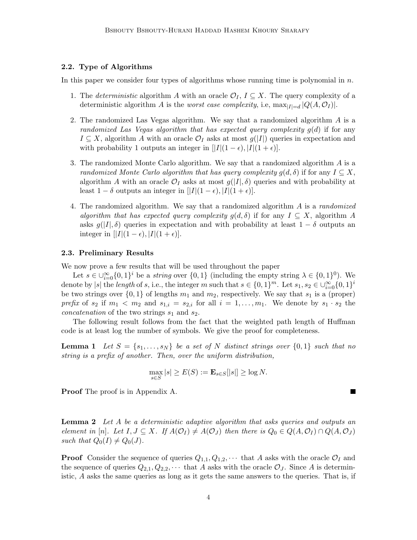# 2.2. Type of Algorithms

In this paper we consider four types of algorithms whose running time is polynomial in  $n$ .

- 1. The deterministic algorithm A with an oracle  $\mathcal{O}_I$ ,  $I \subseteq X$ . The query complexity of a deterministic algorithm A is the *worst case complexity*, i.e,  $\max_{|I|=d} |Q(A, \mathcal{O}_I)|$ .
- 2. The randomized Las Vegas algorithm. We say that a randomized algorithm A is a randomized Las Vegas algorithm that has expected query complexity  $g(d)$  if for any  $I \subseteq X$ , algorithm A with an oracle  $\mathcal{O}_I$  asks at most  $g(|I|)$  queries in expectation and with probability 1 outputs an integer in  $[|I|(1 - \epsilon), |I|(1 + \epsilon)]$ .
- 3. The randomized Monte Carlo algorithm. We say that a randomized algorithm A is a randomized Monte Carlo algorithm that has query complexity  $g(d,\delta)$  if for any  $I \subseteq X$ , algorithm A with an oracle  $\mathcal{O}_I$  asks at most  $g(|I|, \delta)$  queries and with probability at least  $1 - \delta$  outputs an integer in  $[|I|(1 - \epsilon), |I|(1 + \epsilon)].$
- 4. The randomized algorithm. We say that a randomized algorithm A is a randomized algorithm that has expected query complexity  $g(d,\delta)$  if for any  $I \subseteq X$ , algorithm A asks  $g(|I|, \delta)$  queries in expectation and with probability at least  $1 - \delta$  outputs an integer in  $[|I|(1-\epsilon), |I|(1+\epsilon)]$ .

#### 2.3. Preliminary Results

We now prove a few results that will be used throughout the paper

Let  $s \in \bigcup_{i=0}^{\infty} \{0,1\}^i$  be a *string* over  $\{0,1\}$  (including the empty string  $\lambda \in \{0,1\}^0$ ). We denote by |s| the length of s, i.e., the integer m such that  $s \in \{0,1\}^m$ . Let  $s_1, s_2 \in \bigcup_{i=0}^{\infty} \{0,1\}^i$ be two strings over  $\{0,1\}$  of lengths  $m_1$  and  $m_2$ , respectively. We say that  $s_1$  is a (proper) prefix of  $s_2$  if  $m_1 < m_2$  and  $s_{1,i} = s_{2,i}$  for all  $i = 1, \ldots, m_1$ . We denote by  $s_1 \cdot s_2$  the *concatenation* of the two strings  $s_1$  and  $s_2$ .

The following result follows from the fact that the weighted path length of Huffman code is at least log the number of symbols. We give the proof for completeness.

**Lemma 1** Let  $S = \{s_1, \ldots, s_N\}$  be a set of N distinct strings over  $\{0,1\}$  such that no string is a prefix of another. Then, over the uniform distribution,

$$
\max_{s \in S} |s| \ge E(S) := \mathbf{E}_{s \in S}[|s|] \ge \log N.
$$

Proof The proof is in Appendix A.

<span id="page-3-1"></span>**Lemma 2** Let A be a deterministic adaptive algorithm that asks queries and outputs an element in [n]. Let  $I, J \subseteq X$ . If  $A(\mathcal{O}_I) \neq A(\mathcal{O}_J)$  then there is  $Q_0 \in Q(A, \mathcal{O}_I) \cap Q(A, \mathcal{O}_J)$ such that  $Q_0(I) \neq Q_0(J)$ .

**Proof** Consider the sequence of queries  $Q_{1,1}, Q_{1,2}, \cdots$  that A asks with the oracle  $\mathcal{O}_I$  and the sequence of queries  $Q_{2,1}, Q_{2,2}, \cdots$  that A asks with the oracle  $\mathcal{O}_J$ . Since A is deterministic, A asks the same queries as long as it gets the same answers to the queries. That is, if

<span id="page-3-0"></span>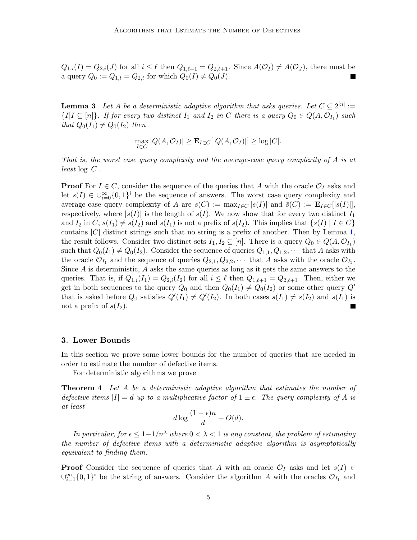$Q_{1,i}(I) = Q_{2,i}(J)$  for all  $i \leq \ell$  then  $Q_{1,\ell+1} = Q_{2,\ell+1}$ . Since  $A(\mathcal{O}_I) \neq A(\mathcal{O}_J)$ , there must be a query  $Q_0 := Q_{1,t} = Q_{2,t}$  for which  $Q_0(I) \neq Q_0(J)$ .

<span id="page-4-1"></span>**Lemma 3** Let A be a deterministic adaptive algorithm that asks queries. Let  $C \subseteq 2^{[n]}$  :=  $\{I | I \subseteq [n]\}$ . If for every two distinct  $I_1$  and  $I_2$  in C there is a query  $Q_0 \in Q(A, \mathcal{O}_{I_1})$  such that  $Q_0(I_1) \neq Q_0(I_2)$  then

$$
\max_{I \in C} |Q(A, \mathcal{O}_I)| \ge \mathbf{E}_{I \in C}[|Q(A, \mathcal{O}_I)|] \ge \log |C|.
$$

That is, the worst case query complexity and the average-case query complexity of A is at  $least \log |C|$ .

**Proof** For  $I \in C$ , consider the sequence of the queries that A with the oracle  $\mathcal{O}_I$  asks and let  $s(I) \in \bigcup_{i=0}^{\infty} \{0,1\}^i$  be the sequence of answers. The worst case query complexity and average-case query complexity of A are  $s(C) := \max_{I \in C} |s(I)|$  and  $\bar{s}(C) := \mathbf{E}_{I \in C} [|s(I)|]$ , respectively, where  $|s(I)|$  is the length of  $s(I)$ . We now show that for every two distinct  $I_1$ and  $I_2$  in  $C$ ,  $s(I_1) \neq s(I_2)$  and  $s(I_1)$  is not a prefix of  $s(I_2)$ . This implies that  $\{s(I) | I \in C\}$ contains  $|C|$  distinct strings such that no string is a prefix of another. Then by Lemma [1,](#page-3-0) the result follows. Consider two distinct sets  $I_1, I_2 \subseteq [n]$ . There is a query  $Q_0 \in Q(A, \mathcal{O}_{I_1})$ such that  $Q_0(I_1) \neq Q_0(I_2)$ . Consider the sequence of queries  $Q_{1,1}, Q_{1,2}, \cdots$  that A asks with the oracle  $\mathcal{O}_{I_1}$  and the sequence of queries  $Q_{2,1}, Q_{2,2}, \cdots$  that A asks with the oracle  $\mathcal{O}_{I_2}$ . Since A is deterministic, A asks the same queries as long as it gets the same answers to the queries. That is, if  $Q_{1,i}(I_1) = Q_{2,i}(I_2)$  for all  $i \leq \ell$  then  $Q_{1,\ell+1} = Q_{2,\ell+1}$ . Then, either we get in both sequences to the query  $Q_0$  and then  $Q_0(I_1) \neq Q_0(I_2)$  or some other query  $Q'$ that is asked before  $Q_0$  satisfies  $Q'(I_1) \neq Q'(I_2)$ . In both cases  $s(I_1) \neq s(I_2)$  and  $s(I_1)$  is not a prefix of  $s(I_2)$ .

#### 3. Lower Bounds

In this section we prove some lower bounds for the number of queries that are needed in order to estimate the number of defective items.

For deterministic algorithms we prove

**Theorem 4** Let A be a deterministic adaptive algorithm that estimates the number of defective items  $|I| = d$  up to a multiplicative factor of  $1 \pm \epsilon$ . The query complexity of A is at least

<span id="page-4-0"></span>
$$
d\log\frac{(1-\epsilon)n}{d} - O(d).
$$

In particular, for  $\epsilon \leq 1-1/n^{\lambda}$  where  $0 < \lambda < 1$  is any constant, the problem of estimating the number of defective items with a deterministic adaptive algorithm is asymptotically equivalent to finding them.

**Proof** Consider the sequence of queries that A with an oracle  $\mathcal{O}_I$  asks and let  $s(I) \in$  $\bigcup_{i=1}^{\infty} \{0,1\}^i$  be the string of answers. Consider the algorithm A with the oracles  $\mathcal{O}_{I_1}$  and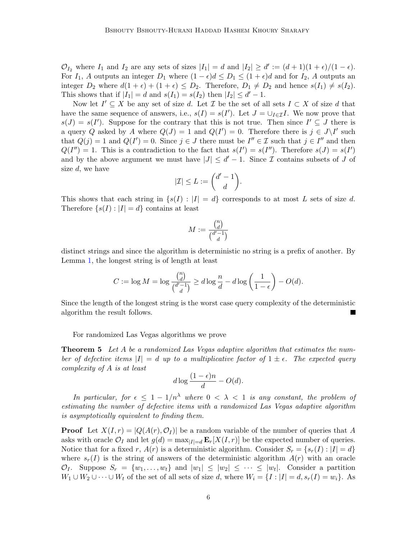$\mathcal{O}_{I_2}$  where  $I_1$  and  $I_2$  are any sets of sizes  $|I_1| = d$  and  $|I_2| \ge d' := (d+1)(1+\epsilon)/(1-\epsilon)$ . For  $I_1$ , A outputs an integer  $D_1$  where  $(1 - \epsilon)d \le D_1 \le (1 + \epsilon)d$  and for  $I_2$ , A outputs an integer  $D_2$  where  $d(1 + \epsilon) + (1 + \epsilon) \leq D_2$ . Therefore,  $D_1 \neq D_2$  and hence  $s(I_1) \neq s(I_2)$ . This shows that if  $|I_1| = d$  and  $s(I_1) = s(I_2)$  then  $|I_2| \leq d' - 1$ .

Now let  $I' \subseteq X$  be any set of size d. Let  $\mathcal I$  be the set of all sets  $I \subset X$  of size d that have the same sequence of answers, i.e.,  $s(I) = s(I')$ . Let  $J = \bigcup_{I \in \mathcal{I}} I$ . We now prove that  $s(J) = s(I')$ . Suppose for the contrary that this is not true. Then since  $I' \subseteq J$  there is a query Q asked by A where  $Q(J) = 1$  and  $Q(I') = 0$ . Therefore there is  $j \in J \backslash I'$  such that  $Q(j) = 1$  and  $Q(I') = 0$ . Since  $j \in J$  there must be  $I'' \in \mathcal{I}$  such that  $j \in I''$  and then  $Q(I'') = 1$ . This is a contradiction to the fact that  $s(I') = s(I'')$ . Therefore  $s(J) = s(I')$ and by the above argument we must have  $|J| \leq d' - 1$ . Since  $\mathcal I$  contains subsets of  $J$  of size  $d$ , we have

$$
|\mathcal{I}|\leq L:=\binom{d'-1}{d}.
$$

This shows that each string in  $\{s(I): |I|=d\}$  corresponds to at most L sets of size d. Therefore  $\{s(I): |I|=d\}$  contains at least

$$
M := \frac{\binom{n}{d}}{\binom{d'-1}{d}}
$$

distinct strings and since the algorithm is deterministic no string is a prefix of another. By Lemma [1,](#page-3-0) the longest string is of length at least

$$
C := \log M = \log \frac{\binom{n}{d}}{\binom{d'-1}{d}} \ge d \log \frac{n}{d} - d \log \left( \frac{1}{1-\epsilon} \right) - O(d).
$$

Since the length of the longest string is the worst case query complexity of the deterministic algorithm the result follows.

For randomized Las Vegas algorithms we prove

**Theorem 5** Let A be a randomized Las Vegas adaptive algorithm that estimates the number of defective items  $|I| = d$  up to a multiplicative factor of  $1 \pm \epsilon$ . The expected query complexity of A is at least

$$
d\log\frac{(1-\epsilon)n}{d} - O(d).
$$

In particular, for  $\epsilon \leq 1 - 1/n^{\lambda}$  where  $0 < \lambda < 1$  is any constant, the problem of estimating the number of defective items with a randomized Las Vegas adaptive algorithm is asymptotically equivalent to finding them.

**Proof** Let  $X(I, r) = |Q(A(r), \mathcal{O}_I)|$  be a random variable of the number of queries that A asks with oracle  $\mathcal{O}_I$  and let  $g(d) = \max_{|I|=d} \mathbf{E}_r[X(I, r)]$  be the expected number of queries. Notice that for a fixed r,  $A(r)$  is a deterministic algorithm. Consider  $S_r = \{s_r(I): |I| = d\}$ where  $s_r(I)$  is the string of answers of the deterministic algorithm  $A(r)$  with an oracle  $\mathcal{O}_I$ . Suppose  $S_r = \{w_1, \ldots, w_t\}$  and  $|w_1| \leq |w_2| \leq \cdots \leq |w_t|$ . Consider a partition  $W_1 \cup W_2 \cup \cdots \cup W_t$  of the set of all sets of size d, where  $W_i = \{I : |I| = d, s_r(I) = w_i\}$ . As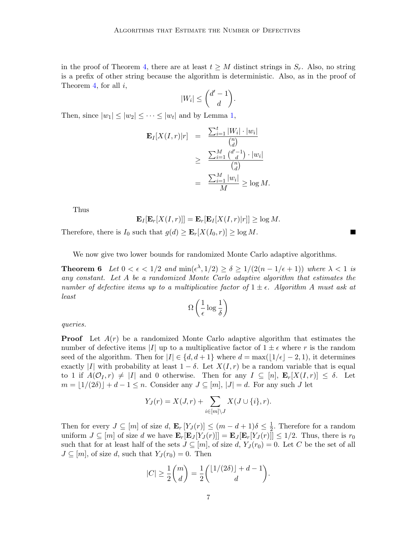in the proof of Theorem [4,](#page-4-0) there are at least  $t \geq M$  distinct strings in  $S_r$ . Also, no string is a prefix of other string because the algorithm is deterministic. Also, as in the proof of Theorem [4,](#page-4-0) for all  $i$ ,

$$
|W_i| \leq \binom{d'-1}{d}.
$$

Then, since  $|w_1| \le |w_2| \le \cdots \le |w_t|$  and by Lemma [1,](#page-3-0)

$$
\mathbf{E}_{I}[X(I,r)|r] = \frac{\sum_{i=1}^{t} |W_i| \cdot |w_i|}{\binom{n}{d}}
$$

$$
\geq \frac{\sum_{i=1}^{M} \binom{d'-1}{d} \cdot |w_i|}{\binom{n}{d}}
$$

$$
= \frac{\sum_{i=1}^{M} |w_i|}{M} \geq \log M.
$$

Thus

 $\mathbf{E}_I[\mathbf{E}_r[X(I, r)]] = \mathbf{E}_r[\mathbf{E}_I[X(I, r)|r]] \geq \log M.$ 

Therefore, there is  $I_0$  such that  $g(d) \geq \mathbf{E}_r[X(I_0,r)] \geq \log M$ .

We now give two lower bounds for randomized Monte Carlo adaptive algorithms.

**Theorem 6** Let  $0 < \epsilon < 1/2$  and  $\min(\epsilon^{\lambda}, 1/2) \ge \delta \ge 1/(2(n-1/\epsilon+1))$  where  $\lambda < 1$  is any constant. Let A be a randomized Monte Carlo adaptive algorithm that estimates the number of defective items up to a multiplicative factor of  $1 \pm \epsilon$ . Algorithm A must ask at least

<span id="page-6-0"></span>
$$
\Omega\left(\frac{1}{\epsilon}\log\frac{1}{\delta}\right)
$$

queries.

**Proof** Let  $A(r)$  be a randomized Monte Carlo adaptive algorithm that estimates the number of defective items |I| up to a multiplicative factor of  $1 \pm \epsilon$  where r is the random seed of the algorithm. Then for  $|I| \in \{d, d+1\}$  where  $d = \max(|1/\epsilon| - 2, 1)$ , it determines exactly |I| with probability at least  $1 - \delta$ . Let  $X(I, r)$  be a random variable that is equal to 1 if  $A(\mathcal{O}_I, r) \neq |I|$  and 0 otherwise. Then for any  $I \subseteq [n]$ ,  $\mathbf{E}_r[X(I, r)] \leq \delta$ . Let  $m = \lfloor 1/(2\delta)\rfloor + d - 1 \leq n$ . Consider any  $J \subseteq [m], |J| = d$ . For any such J let

$$
Y_J(r) = X(J,r) + \sum_{i \in [m] \setminus J} X(J \cup \{i\}, r).
$$

Then for every  $J \subseteq [m]$  of size d,  $\mathbf{E}_r[Y_J(r)] \leq (m-d+1)\delta \leq \frac{1}{2}$  $\frac{1}{2}$ . Therefore for a random uniform  $J \subseteq [m]$  of size d we have  $\mathbf{E}_r[\mathbf{E}_J[Y_J(r)]] = \mathbf{E}_J[\mathbf{E}_r[Y_J(r)]] \leq 1/2$ . Thus, there is  $r_0$ such that for at least half of the sets  $J \subseteq [m]$ , of size d,  $Y_J(r_0) = 0$ . Let C be the set of all  $J \subseteq [m]$ , of size d, such that  $Y_J(r_0) = 0$ . Then

$$
|C| \ge \frac{1}{2} {m \choose d} = \frac{1}{2} \binom{\lfloor 1/(2\delta) \rfloor + d - 1}{d}.
$$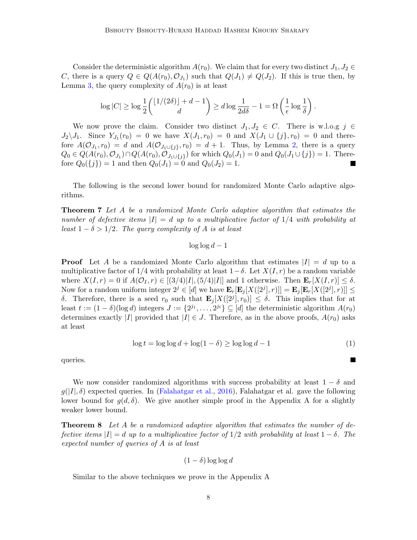Consider the deterministic algorithm  $A(r_0)$ . We claim that for every two distinct  $J_1, J_2 \in$ C, there is a query  $Q \in Q(A(r_0), \mathcal{O}_{J_1})$  such that  $Q(J_1) \neq Q(J_2)$ . If this is true then, by Lemma [3,](#page-4-1) the query complexity of  $A(r_0)$  is at least

$$
\log|C| \ge \log\frac{1}{2}\binom{\lfloor 1/(2\delta)\rfloor + d - 1}{d} \ge d\log\frac{1}{2d\delta} - 1 = \Omega\left(\frac{1}{\epsilon}\log\frac{1}{\delta}\right).
$$

We now prove the claim. Consider two distinct  $J_1, J_2 \in C$ . There is w.l.o.g  $j \in$  $J_2 \setminus J_1$ . Since  $Y_{J_1}(r_0) = 0$  we have  $X(J_1, r_0) = 0$  and  $X(J_1 \cup \{j\}, r_0) = 0$  and therefore  $A(\mathcal{O}_{J_1}, r_0) = d$  and  $A(\mathcal{O}_{J_1 \cup \{j\}}, r_0) = d + 1$ . Thus, by Lemma [2,](#page-3-1) there is a query  $Q_0 \in Q(A(r_0), \mathcal{O}_{J_1}) \cap Q(A(r_0), \mathcal{O}_{J_1 \cup \{j\}})$  for which  $Q_0(J_1) = 0$  and  $Q_0(J_1 \cup \{j\}) = 1$ . Therefore  $Q_0({j}) = 1$  and then  $Q_0(J_1) = 0$  and  $Q_0(J_2) = 1$ .

<span id="page-7-1"></span>The following is the second lower bound for randomized Monte Carlo adaptive algorithms.

Theorem 7 Let A be a randomized Monte Carlo adaptive algorithm that estimates the number of defective items  $|I| = d$  up to a multiplicative factor of  $1/4$  with probability at least  $1 - \delta > 1/2$ . The query complexity of A is at least

### $\log \log d - 1$

**Proof** Let A be a randomized Monte Carlo algorithm that estimates  $|I| = d$  up to a multiplicative factor of 1/4 with probability at least  $1-\delta$ . Let  $X(I,r)$  be a random variable where  $X(I, r) = 0$  if  $A(\mathcal{O}_I, r) \in [(3/4)|I|, (5/4)|I|]$  and 1 otherwise. Then  $\mathbf{E}_r[X(I, r)] \leq \delta$ . Now for a random uniform integer  $2^j \in [d]$  we have  $\mathbf{E}_r[\mathbf{E}_j[X([2^j],r)]] = \mathbf{E}_j[\mathbf{E}_r[X([2^j],r)]] \leq$ δ. Therefore, there is a seed  $r_0$  such that  $\mathbf{E}_j[X([2^j], r_0)] \leq \delta$ . This implies that for at least  $t := (1 - \delta)(\log d)$  integers  $J := \{2^{j_1}, \ldots, 2^{j_t}\} \subseteq [d]$  the deterministic algorithm  $A(r_0)$ determines exactly |I| provided that  $|I| \in J$ . Therefore, as in the above proofs,  $A(r_0)$  asks at least

<span id="page-7-2"></span><span id="page-7-0"></span>
$$
\log t = \log \log d + \log(1 - \delta) \ge \log \log d - 1 \tag{1}
$$

 $\blacksquare$ 

queries.

We now consider randomized algorithms with success probability at least  $1 - \delta$  and  $g(|I|, \delta)$  expected queries. In [\(Falahatgar et al.,](#page-12-9) [2016\)](#page-12-9), Falahatgar et al. gave the following lower bound for  $g(d, \delta)$ . We give another simple proof in the Appendix A for a slightly weaker lower bound.

**Theorem 8** Let A be a randomized adaptive algorithm that estimates the number of defective items  $|I| = d$  up to a multiplicative factor of 1/2 with probability at least  $1 - \delta$ . The expected number of queries of A is at least

$$
(1 - \delta) \log \log d
$$

Similar to the above techniques we prove in the Appendix A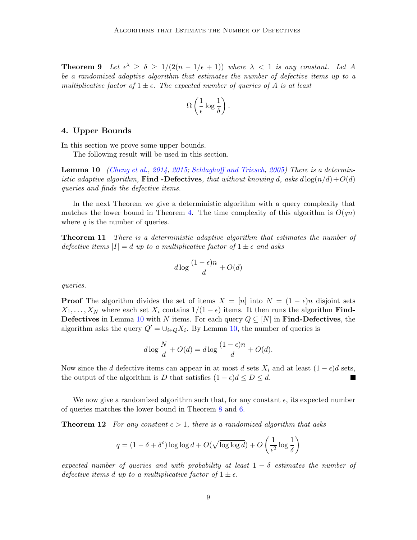**Theorem 9** Let  $\epsilon^{\lambda} \geq \delta \geq 1/(2(n-1/\epsilon+1))$  where  $\lambda < 1$  is any constant. Let A be a randomized adaptive algorithm that estimates the number of defective items up to a multiplicative factor of  $1 \pm \epsilon$ . The expected number of queries of A is at least

<span id="page-8-0"></span>
$$
\Omega\left(\frac{1}{\epsilon}\log\frac{1}{\delta}\right).
$$

### 4. Upper Bounds

In this section we prove some upper bounds.

The following result will be used in this section.

**Lemma 10** [\(Cheng et al.,](#page-12-10) [2014,](#page-12-10) [2015;](#page-12-11) [Schlaghoff and Triesch,](#page-13-11) [2005\)](#page-13-11) There is a deterministic adaptive algorithm, Find -Defectives, that without knowing d, asks  $d \log(n/d) + O(d)$ queries and finds the defective items.

In the next Theorem we give a deterministic algorithm with a query complexity that matches the lower bound in Theorem [4.](#page-4-0) The time complexity of this algorithm is  $O(qn)$ where  $q$  is the number of queries.

Theorem 11 There is a deterministic adaptive algorithm that estimates the number of defective items  $|I| = d$  up to a multiplicative factor of  $1 \pm \epsilon$  and asks

$$
d\log\frac{(1-\epsilon)n}{d} + O(d)
$$

queries.

**Proof** The algorithm divides the set of items  $X = [n]$  into  $N = (1 - \epsilon)n$  disjoint sets  $X_1, \ldots, X_N$  where each set  $X_i$  contains  $1/(1 - \epsilon)$  items. It then runs the algorithm **Find-**Defectives in Lemma [10](#page-8-0) with N items. For each query  $Q \subseteq [N]$  in Find-Defectives, the algorithm asks the query  $Q' = \bigcup_{i \in Q} X_i$ . By Lemma [10,](#page-8-0) the number of queries is

<span id="page-8-1"></span>
$$
d \log \frac{N}{d} + O(d) = d \log \frac{(1 - \epsilon)n}{d} + O(d).
$$

Now since the d defective items can appear in at most d sets  $X_i$  and at least  $(1 - \epsilon)d$  sets, the output of the algorithm is D that satisfies  $(1 - \epsilon)d \leq D \leq d$ .

We now give a randomized algorithm such that, for any constant  $\epsilon$ , its expected number of queries matches the lower bound in Theorem [8](#page-7-0) and [6.](#page-6-0)

**Theorem 12** For any constant  $c > 1$ , there is a randomized algorithm that asks

$$
q = (1 - \delta + \delta^{c}) \log \log d + O(\sqrt{\log \log d}) + O\left(\frac{1}{\epsilon^{2}} \log \frac{1}{\delta}\right)
$$

expected number of queries and with probability at least  $1 - \delta$  estimates the number of defective items d up to a multiplicative factor of  $1 \pm \epsilon$ .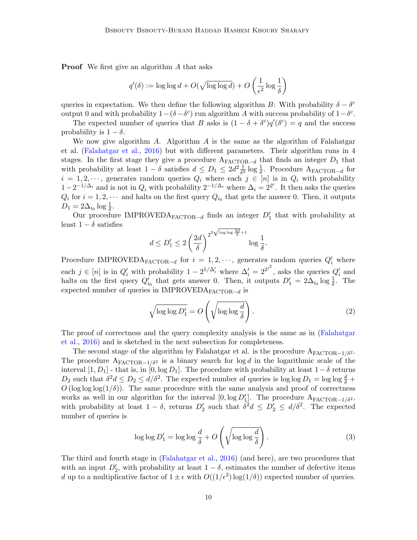**Proof** We first give an algorithm A that asks

$$
q'(\delta) := \log \log d + O(\sqrt{\log \log d}) + O\left(\frac{1}{\epsilon^2} \log \frac{1}{\delta}\right)
$$

queries in expectation. We then define the following algorithm B: With probability  $\delta - \delta^c$ output 0 and with probability  $1-(\delta-\delta^c)$  run algorithm A with success probability of  $1-\delta^c$ .

The expected number of queries that B asks is  $(1 - \delta + \delta^c)q'(\delta^c) = q$  and the success probability is  $1 - \delta$ .

We now give algorithm  $A$ . Algorithm  $A$  is the same as the algorithm of Falahatgar et al. [\(Falahatgar et al.,](#page-12-9) [2016\)](#page-12-9) but with different parameters. Their algorithm runs in 4 stages. In the first stage they give a procedure  $A_{\text{FACTOR}-d}$  that finds an integer  $D_1$  that with probability at least  $1 - \delta$  satisfies  $d \leq D_1 \leq 2d^2 \frac{1}{\delta^2}$  $\frac{1}{\delta^2} \log \frac{1}{\delta}$ . Procedure A<sub>FACTOR</sub>-d for  $i = 1, 2, \dots$ , generates random queries  $Q_i$  where each  $j \in [n]$  is in  $Q_i$  with probability  $1-2^{-1/\Delta_i}$  and is not in  $Q_i$  with probability  $2^{-1/\Delta_i}$  where  $\Delta_i = 2^{2^i}$ . It then asks the queries  $Q_i$  for  $i = 1, 2, \cdots$  and halts on the first query  $Q_{i_0}$  that gets the answer 0. Then, it outputs  $D_1 = 2\Delta_{i_0} \log \frac{1}{\delta}.$ 

Our procedure IMPROVEDA<sub>FACTOR</sub>-d finds an integer  $D'_1$  that with probability at least  $1 - \delta$  satisfies √

$$
d \le D'_1 \le 2\left(\frac{2d}{\delta}\right)^{2^{2\sqrt{\log\log\frac{2d}{\delta}}+1}}\log\frac{1}{\delta}.
$$

Procedure IMPROVEDA<sub>FACTOR-d</sub> for  $i = 1, 2, \cdots$ , generates random queries  $Q'_{i}$  where each  $j \in [n]$  is in  $Q'_i$  with probability  $1 - 2^{1/\Delta'_i}$  where  $\Delta'_i = 2^{2^{i^2}}$ , asks the queries  $Q'_i$  and halts on the first query  $Q'_{i_0}$  that gets answer 0. Then, it outputs  $D'_1 = 2\Delta_{i_0} \log \frac{1}{\delta}$ . The expected number of queries in IMPROVEDA $_{\rm FACTOR-d}$  is

<span id="page-9-0"></span>
$$
\sqrt{\log \log D_1'} = O\left(\sqrt{\log \log \frac{d}{\delta}}\right). \tag{2}
$$

The proof of correctness and the query complexity analysis is the same as in [\(Falahatgar](#page-12-9) [et al.,](#page-12-9) [2016\)](#page-12-9) and is sketched in the next subsection for completeness.

The second stage of the algorithm by Falahatgar et al. is the procedure  $A_{FACTOR-1/\delta^2}$ . The procedure  $A_{FACTOR-1/\delta^2}$  is a binary search for log d in the logarithmic scale of the interval [1, D<sub>1</sub>] - that is, in [0, log D<sub>1</sub>]. The procedure with probability at least  $1 - \delta$  returns  $D_2$  such that  $\delta^2 d \le D_2 \le d/\delta^2$ . The expected number of queries is  $\log \log D_1 = \log \log \frac{d}{\delta} +$  $O(\log \log(1/\delta))$ . The same procedure with the same analysis and proof of correctness works as well in our algorithm for the interval  $[0, \log D_1']$ . The procedure  $A_{\text{FACTOR}-1/\delta^2}$ , with probability at least  $1 - \delta$ , returns  $D'_2$  such that  $\delta^2 d \le D'_2 \le d/\delta^2$ . The expected number of queries is

<span id="page-9-1"></span>
$$
\log \log D_1' = \log \log \frac{d}{\delta} + O\left(\sqrt{\log \log \frac{d}{\delta}}\right). \tag{3}
$$

The third and fourth stage in [\(Falahatgar et al.,](#page-12-9) [2016\)](#page-12-9) (and here), are two procedures that with an input  $D'_2$ , with probability at least  $1 - \delta$ , estimates the number of defective items d up to a multiplicative factor of  $1 \pm \epsilon$  with  $O((1/\epsilon^2) \log(1/\delta))$  expected number of queries.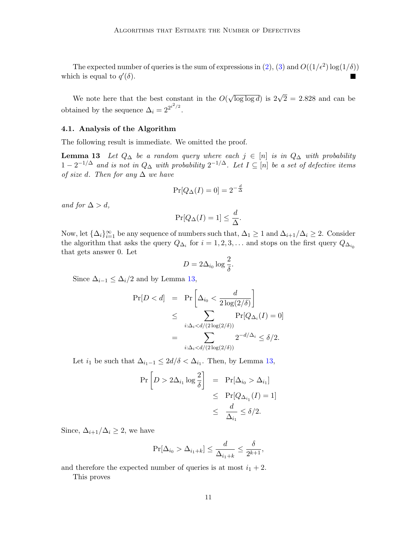The expected number of queries is the sum of expressions in [\(2\)](#page-9-0), [\(3\)](#page-9-1) and  $O((1/\epsilon^2) \log(1/\delta))$ which is equal to  $q'(\delta)$ .

We note here that the best constant in the  $O($  $\sqrt{\log \log d}$ ) is  $2\sqrt{2} = 2.828$  and can be obtained by the sequence  $\Delta_i = 2^{2^{i^2/2}}$ .

### 4.1. Analysis of the Algorithm

The following result is immediate. We omitted the proof.

**Lemma 13** Let  $Q_{\Delta}$  be a random query where each  $j \in [n]$  is in  $Q_{\Delta}$  with probability  $1-2^{-1/\Delta}$  and is not in  $Q_{\Delta}$  with probability  $2^{-1/\Delta}$ . Let  $I \subseteq [n]$  be a set of defective items of size d. Then for any  $\Delta$  we have

<span id="page-10-0"></span>
$$
\Pr[Q_{\Delta}(I) = 0] = 2^{-\frac{d}{\Delta}}
$$

and for  $\Delta > d$ ,

$$
\Pr[Q_{\Delta}(I) = 1] \le \frac{d}{\Delta}.
$$

Now, let  $\{\Delta_i\}_{i=1}^{\infty}$  be any sequence of numbers such that,  $\Delta_1 \geq 1$  and  $\Delta_{i+1}/\Delta_i \geq 2$ . Consider the algorithm that asks the query  $Q_{\Delta_i}$  for  $i = 1, 2, 3, \dots$  and stops on the first query  $Q_{\Delta_{i_0}}$ that gets answer 0. Let

$$
D = 2\Delta_{i_0} \log \frac{2}{\delta}.
$$

Since  $\Delta_{i-1} \leq \Delta_i/2$  and by Lemma [13,](#page-10-0)

$$
\Pr[D < d] = \Pr\left[\Delta_{i_0} < \frac{d}{2\log(2/\delta)}\right] \\
\leq \sum_{i:\Delta_i < d/(2\log(2/\delta))} \Pr[Q_{\Delta_i}(I) = 0] \\
= \sum_{i:\Delta_i < d/(2\log(2/\delta))} 2^{-d/\Delta_i} \leq \delta/2.
$$

Let  $i_1$  be such that  $\Delta_{i_1-1} \leq 2d/\delta < \Delta_{i_1}$ . Then, by Lemma [13,](#page-10-0)

$$
\begin{aligned} \Pr\left[D > 2\Delta_{i_1} \log \frac{2}{\delta}\right] &= \Pr[\Delta_{i_0} > \Delta_{i_1}] \\ &\leq \Pr[Q_{\Delta_{i_1}}(I) = 1] \\ &\leq \frac{d}{\Delta_{i_1}} \leq \delta/2. \end{aligned}
$$

Since,  $\Delta_{i+1}/\Delta_i \geq 2$ , we have

$$
\Pr[\Delta_{i_0} > \Delta_{i_1+k}] \le \frac{d}{\Delta_{i_1+k}} \le \frac{\delta}{2^{k+1}},
$$

and therefore the expected number of queries is at most  $i_1 + 2$ .

<span id="page-10-1"></span>This proves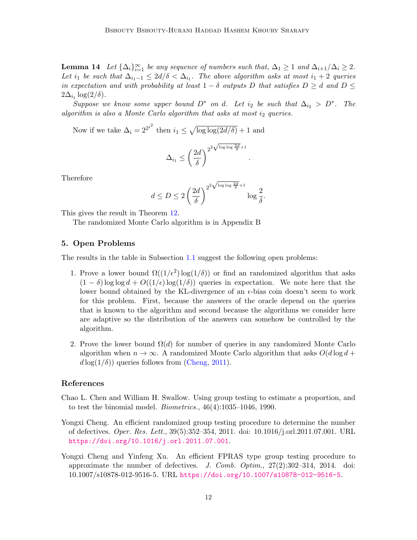**Lemma 14** Let  $\{\Delta_i\}_{i=1}^{\infty}$  be any sequence of numbers such that,  $\Delta_1 \geq 1$  and  $\Delta_{i+1}/\Delta_i \geq 2$ . Let i<sub>1</sub> be such that  $\Delta_{i_1-1} \leq 2d/\delta < \Delta_{i_1}$ . The above algorithm asks at most  $i_1 + 2$  queries in expectation and with probability at least  $1 - \delta$  outputs D that satisfies  $D \geq d$  and  $D \leq$  $2\Delta_{i_1} \log(2/\delta)$ .

Suppose we know some upper bound  $D^*$  on d. Let  $i_2$  be such that  $\Delta_{i_2} > D^*$ . The algorithm is also a Monte Carlo algorithm that asks at most  $i_2$  queries.

Now if we take  $\Delta_i = 2^{2^{i^2}}$  then  $i_1 \leq \sqrt{\log \log(2d/\delta)} + 1$  and

$$
\Delta_{i_1} \leq \left(\frac{2d}{\delta}\right)^{2^{2\sqrt{\log\log\frac{2d}{\delta}}+1}}
$$

.

Therefore

$$
d \le D \le 2\left(\frac{2d}{\delta}\right)^{2^{2\sqrt{\log\log\frac{2d}{\delta}}+1}}\log\frac{2}{\delta}.
$$

This gives the result in Theorem [12.](#page-8-1)

The randomized Monte Carlo algorithm is in Appendix B

# 5. Open Problems

The results in the table in Subsection [1.1](#page-1-0) suggest the following open problems:

- 1. Prove a lower bound  $\Omega((1/\epsilon^2) \log(1/\delta))$  or find an randomized algorithm that asks  $(1 - \delta) \log \log d + O((1/\epsilon) \log(1/\delta))$  queries in expectation. We note here that the lower bound obtained by the KL-divergence of an  $\epsilon$ -bias coin doesn't seem to work for this problem. First, because the answers of the oracle depend on the queries that is known to the algorithm and second because the algorithms we consider here are adaptive so the distribution of the answers can somehow be controlled by the algorithm.
- 2. Prove the lower bound  $\Omega(d)$  for number of queries in any randomized Monte Carlo algorithm when  $n \to \infty$ . A randomized Monte Carlo algorithm that asks  $O(d \log d +$  $d \log(1/\delta)$  queries follows from [\(Cheng,](#page-11-2) [2011\)](#page-11-2).

#### References

- <span id="page-11-1"></span>Chao L. Chen and William H. Swallow. Using group testing to estimate a proportion, and to test the binomial model. *Biometrics.*,  $46(4):1035-1046$ , 1990.
- <span id="page-11-2"></span>Yongxi Cheng. An efficient randomized group testing procedure to determine the number of defectives. Oper. Res. Lett., 39(5):352–354, 2011. doi: 10.1016/j.orl.2011.07.001. URL <https://doi.org/10.1016/j.orl.2011.07.001>.
- <span id="page-11-0"></span>Yongxi Cheng and Yinfeng Xu. An efficient FPRAS type group testing procedure to approximate the number of defectives. J. Comb. Optim., 27(2):302–314, 2014. doi: 10.1007/s10878-012-9516-5. URL <https://doi.org/10.1007/s10878-012-9516-5>.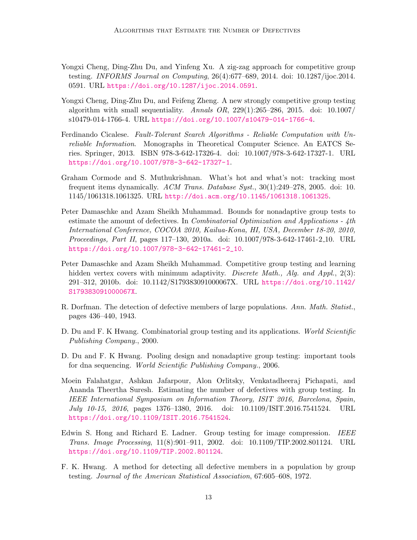- <span id="page-12-10"></span>Yongxi Cheng, Ding-Zhu Du, and Yinfeng Xu. A zig-zag approach for competitive group testing. INFORMS Journal on Computing, 26(4):677–689, 2014. doi: 10.1287/ijoc.2014. 0591. URL <https://doi.org/10.1287/ijoc.2014.0591>.
- <span id="page-12-11"></span>Yongxi Cheng, Ding-Zhu Du, and Feifeng Zheng. A new strongly competitive group testing algorithm with small sequentiality. Annals  $OR$ ,  $229(1):265-286$ ,  $2015$ . doi:  $10.1007/$ s10479-014-1766-4. URL <https://doi.org/10.1007/s10479-014-1766-4>.
- <span id="page-12-3"></span>Ferdinando Cicalese. Fault-Tolerant Search Algorithms - Reliable Computation with Unreliable Information. Monographs in Theoretical Computer Science. An EATCS Series. Springer, 2013. ISBN 978-3-642-17326-4. doi: 10.1007/978-3-642-17327-1. URL <https://doi.org/10.1007/978-3-642-17327-1>.
- <span id="page-12-2"></span>Graham Cormode and S. Muthukrishnan. What's hot and what's not: tracking most frequent items dynamically.  $ACM$  Trans. Database Syst., 30(1):249–278, 2005. doi: 10. 1145/1061318.1061325. URL <http://doi.acm.org/10.1145/1061318.1061325>.
- <span id="page-12-7"></span>Peter Damaschke and Azam Sheikh Muhammad. Bounds for nonadaptive group tests to estimate the amount of defectives. In *Combinatorial Optimization and Applications - 4th* International Conference, COCOA 2010, Kailua-Kona, HI, USA, December 18-20, 2010, Proceedings, Part II, pages 117–130, 2010a. doi: 10.1007/978-3-642-17461-2 10. URL [https://doi.org/10.1007/978-3-642-17461-2\\_10](https://doi.org/10.1007/978-3-642-17461-2_10).
- <span id="page-12-8"></span>Peter Damaschke and Azam Sheikh Muhammad. Competitive group testing and learning hidden vertex covers with minimum adaptivity. Discrete Math., Alg. and Appl., 2(3): 291–312, 2010b. doi: 10.1142/S179383091000067X. URL [https://doi.org/10.1142/](https://doi.org/10.1142/S179383091000067X) [S179383091000067X](https://doi.org/10.1142/S179383091000067X).
- <span id="page-12-0"></span>R. Dorfman. The detection of defective members of large populations. Ann. Math. Statist., pages 436–440, 1943.
- <span id="page-12-4"></span>D. Du and F. K Hwang. Combinatorial group testing and its applications. World Scientific Publishing Company., 2000.
- <span id="page-12-5"></span>D. Du and F. K Hwang. Pooling design and nonadaptive group testing: important tools for dna sequencing. World Scientific Publishing Company., 2006.
- <span id="page-12-9"></span>Moein Falahatgar, Ashkan Jafarpour, Alon Orlitsky, Venkatadheeraj Pichapati, and Ananda Theertha Suresh. Estimating the number of defectives with group testing. In IEEE International Symposium on Information Theory, ISIT 2016, Barcelona, Spain, July 10-15, 2016, pages 1376–1380, 2016. doi: 10.1109/ISIT.2016.7541524. URL <https://doi.org/10.1109/ISIT.2016.7541524>.
- <span id="page-12-1"></span>Edwin S. Hong and Richard E. Ladner. Group testing for image compression. *IEEE* Trans. Image Processing, 11(8):901–911, 2002. doi: 10.1109/TIP.2002.801124. URL <https://doi.org/10.1109/TIP.2002.801124>.
- <span id="page-12-6"></span>F. K. Hwang. A method for detecting all defective members in a population by group testing. Journal of the American Statistical Association, 67:605–608, 1972.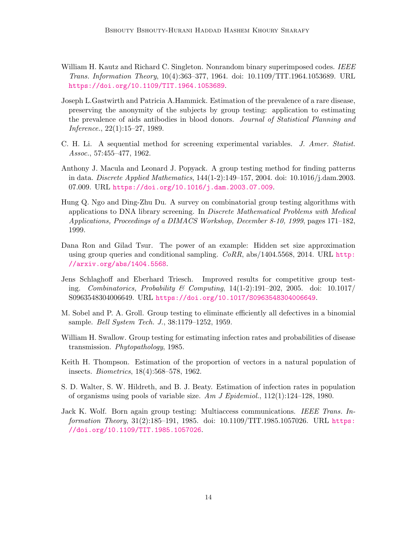- <span id="page-13-2"></span>William H. Kautz and Richard C. Singleton. Nonrandom binary superimposed codes. IEEE Trans. Information Theory, 10(4):363–377, 1964. doi: 10.1109/TIT.1964.1053689. URL <https://doi.org/10.1109/TIT.1964.1053689>.
- <span id="page-13-10"></span>Joseph L.Gastwirth and Patricia A.Hammick. Estimation of the prevalence of a rare disease, preserving the anonymity of the subjects by group testing: application to estimating the prevalence of aids antibodies in blood donors. Journal of Statistical Planning and Inference., 22(1):15–27, 1989.
- <span id="page-13-3"></span>C. H. Li. A sequential method for screening experimental variables. J. Amer. Statist. Assoc., 57:455–477, 1962.
- <span id="page-13-5"></span>Anthony J. Macula and Leonard J. Popyack. A group testing method for finding patterns in data. Discrete Applied Mathematics, 144(1-2):149–157, 2004. doi: 10.1016/j.dam.2003. 07.009. URL <https://doi.org/10.1016/j.dam.2003.07.009>.
- <span id="page-13-0"></span>Hung Q. Ngo and Ding-Zhu Du. A survey on combinatorial group testing algorithms with applications to DNA library screening. In Discrete Mathematical Problems with Medical Applications, Proceedings of a DIMACS Workshop, December 8-10, 1999, pages 171–182, 1999.
- <span id="page-13-6"></span>Dana Ron and Gilad Tsur. The power of an example: Hidden set size approximation using group queries and conditional sampling.  $CoRR$ , abs/1404.5568, 2014. URL [http:](http://arxiv.org/abs/1404.5568) [//arxiv.org/abs/1404.5568](http://arxiv.org/abs/1404.5568).
- <span id="page-13-11"></span>Jens Schlaghoff and Eberhard Triesch. Improved results for competitive group testing. Combinatorics, Probability & Computing,  $14(1-2):191-202$ , 2005. doi: 10.1017/ S0963548304006649. URL <https://doi.org/10.1017/S0963548304006649>.
- <span id="page-13-1"></span>M. Sobel and P. A. Groll. Group testing to eliminate efficiently all defectives in a binomial sample. Bell System Tech. J., 38:1179–1252, 1959.
- <span id="page-13-7"></span>William H. Swallow. Group testing for estimating infection rates and probabilities of disease transmission. Phytopathology, 1985.
- <span id="page-13-8"></span>Keith H. Thompson. Estimation of the proportion of vectors in a natural population of insects. Biometrics, 18(4):568–578, 1962.
- <span id="page-13-9"></span>S. D. Walter, S. W. Hildreth, and B. J. Beaty. Estimation of infection rates in population of organisms using pools of variable size. Am J Epidemiol.,  $112(1):124-128$ , 1980.
- <span id="page-13-4"></span>Jack K. Wolf. Born again group testing: Multiaccess communications. IEEE Trans. Information Theory, 31(2):185–191, 1985. doi: 10.1109/TIT.1985.1057026. URL [https:](https://doi.org/10.1109/TIT.1985.1057026) [//doi.org/10.1109/TIT.1985.1057026](https://doi.org/10.1109/TIT.1985.1057026).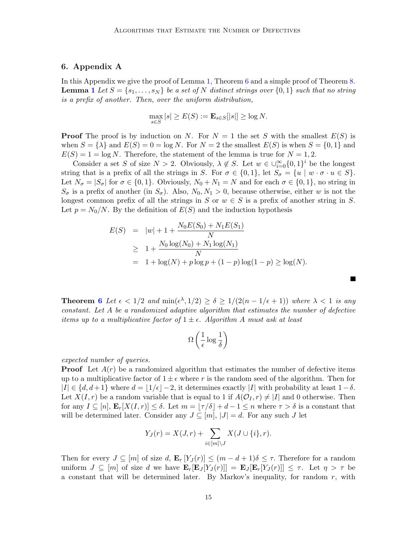# 6. Appendix A

In this Appendix we give the proof of Lemma [1,](#page-3-0) Theorem [6](#page-6-0) and a simple proof of Theorem [8.](#page-7-0) **Lemma [1](#page-3-0)** Let  $S = \{s_1, \ldots, s_N\}$  be a set of N distinct strings over  $\{0, 1\}$  such that no string is a prefix of another. Then, over the uniform distribution,

$$
\max_{s \in S} |s| \ge E(S) := \mathbf{E}_{s \in S}[|s|] \ge \log N.
$$

**Proof** The proof is by induction on N. For  $N = 1$  the set S with the smallest  $E(S)$  is when  $S = \{\lambda\}$  and  $E(S) = 0 = \log N$ . For  $N = 2$  the smallest  $E(S)$  is when  $S = \{0, 1\}$  and  $E(S) = 1 = \log N$ . Therefore, the statement of the lemma is true for  $N = 1, 2$ .

Consider a set S of size  $N > 2$ . Obviously,  $\lambda \notin S$ . Let  $w \in \bigcup_{i=0}^{\infty} \{0,1\}^i$  be the longest string that is a prefix of all the strings in S. For  $\sigma \in \{0,1\}$ , let  $S_{\sigma} = \{u \mid w \cdot \sigma \cdot u \in S\}$ . Let  $N_{\sigma} = |S_{\sigma}|$  for  $\sigma \in \{0, 1\}$ . Obviously,  $N_0 + N_1 = N$  and for each  $\sigma \in \{0, 1\}$ , no string in  $S_{\sigma}$  is a prefix of another (in  $S_{\sigma}$ ). Also,  $N_0, N_1 > 0$ , because otherwise, either w is not the longest common prefix of all the strings in S or  $w \in S$  is a prefix of another string in S. Let  $p = N_0/N$ . By the definition of  $E(S)$  and the induction hypothesis

$$
E(S) = |w| + 1 + \frac{N_0 E(S_0) + N_1 E(S_1)}{N}
$$
  
\n
$$
\geq 1 + \frac{N_0 \log(N_0) + N_1 \log(N_1)}{N}
$$
  
\n
$$
= 1 + \log(N) + p \log p + (1 - p) \log(1 - p) \geq \log(N).
$$

**Theorem [6](#page-6-0)** Let  $\epsilon < 1/2$  and  $\min(\epsilon^{\lambda}, 1/2) \ge \delta \ge 1/(2(n-1/\epsilon+1))$  where  $\lambda < 1$  is any constant. Let A be a randomized adaptive algorithm that estimates the number of defective items up to a multiplicative factor of  $1 \pm \epsilon$ . Algorithm A must ask at least

$$
\Omega\left(\frac{1}{\epsilon}\log\frac{1}{\delta}\right)
$$

expected number of queries.

**Proof** Let  $A(r)$  be a randomized algorithm that estimates the number of defective items up to a multiplicative factor of  $1 \pm \epsilon$  where r is the random seed of the algorithm. Then for  $|I| \in \{d, d+1\}$  where  $d = |1/\epsilon| - 2$ , it determines exactly  $|I|$  with probability at least  $1-\delta$ . Let  $X(I, r)$  be a random variable that is equal to 1 if  $A(\mathcal{O}_I, r) \neq |I|$  and 0 otherwise. Then for any  $I \subseteq [n], \mathbf{E}_r[X(I, r)] \leq \delta$ . Let  $m = |\tau/\delta| + d - 1 \leq n$  where  $\tau > \delta$  is a constant that will be determined later. Consider any  $J \subseteq [m], |J| = d$ . For any such J let

$$
Y_J(r) = X(J,r) + \sum_{i \in [m] \setminus J} X(J \cup \{i\}, r).
$$

Then for every  $J \subseteq [m]$  of size d,  $\mathbf{E}_r[Y_J(r)] \leq (m - d + 1)\delta \leq \tau$ . Therefore for a random uniform  $J \subseteq [m]$  of size d we have  $\mathbf{E}_r[\mathbf{E}_J[Y_J(r)]] = \mathbf{E}_J[\mathbf{E}_r[Y_J(r)]] \leq \tau$ . Let  $\eta > \tau$  be a constant that will be determined later. By Markov's inequality, for random  $r$ , with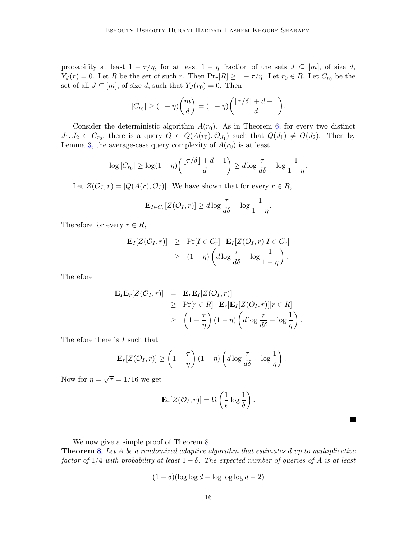probability at least  $1 - \tau/\eta$ , for at least  $1 - \eta$  fraction of the sets  $J \subseteq [m]$ , of size d,  $Y_J(r) = 0$ . Let R be the set of such r. Then  $\Pr_r[R] \geq 1 - \tau/\eta$ . Let  $r_0 \in R$ . Let  $C_{r_0}$  be the set of all  $J \subseteq [m]$ , of size d, such that  $Y_J(r_0) = 0$ . Then

$$
|C_{r_0}| \ge (1 - \eta) {m \choose d} = (1 - \eta) { \lfloor \tau / \delta \rfloor + d - 1 \choose d}.
$$

Consider the deterministic algorithm  $A(r_0)$ . As in Theorem [6,](#page-6-0) for every two distinct  $J_1, J_2 \in C_{r_0}$ , there is a query  $Q \in Q(A(r_0), \mathcal{O}_{J_1})$  such that  $Q(J_1) \neq Q(J_2)$ . Then by Lemma [3,](#page-4-1) the average-case query complexity of  $A(r_0)$  is at least

$$
\log|C_{r_0}| \geq \log(1-\eta) \binom{\lfloor \tau/\delta\rfloor + d - 1}{d} \geq d \log \frac{\tau}{d\delta} - \log \frac{1}{1-\eta}.
$$

Let  $Z(\mathcal{O}_I, r) = |Q(A(r), \mathcal{O}_I)|$ . We have shown that for every  $r \in R$ ,

$$
\mathbf{E}_{I \in C_r} [Z(\mathcal{O}_I, r)] \ge d \log \frac{\tau}{d\delta} - \log \frac{1}{1 - \eta}.
$$

Therefore for every  $r \in R$ ,

$$
\mathbf{E}_{I}[Z(\mathcal{O}_{I},r)] \geq \Pr[I \in C_{r}] \cdot \mathbf{E}_{I}[Z(\mathcal{O}_{I},r)|I \in C_{r}]
$$
  
 
$$
\geq (1-\eta) \left( d \log \frac{\tau}{d\delta} - \log \frac{1}{1-\eta} \right).
$$

Therefore

$$
\mathbf{E}_{I}\mathbf{E}_{r}[Z(\mathcal{O}_{I},r)] = \mathbf{E}_{r}\mathbf{E}_{I}[Z(\mathcal{O}_{I},r)]
$$
  
\n
$$
\geq \Pr[r \in R] \cdot \mathbf{E}_{r}[\mathbf{E}_{I}[Z(\mathcal{O}_{I},r)]|r \in R]
$$
  
\n
$$
\geq \left(1 - \frac{\tau}{\eta}\right)(1 - \eta)\left(d\log\frac{\tau}{d\delta} - \log\frac{1}{\eta}\right).
$$

Therefore there is I such that

$$
\mathbf{E}_{r}[Z(\mathcal{O}_{I},r)] \geq \left(1 - \frac{\tau}{\eta}\right)(1 - \eta)\left(d\log\frac{\tau}{d\delta} - \log\frac{1}{\eta}\right).
$$

Now for  $\eta = \sqrt{\tau} = 1/16$  we get

$$
\mathbf{E}_r[Z(\mathcal{O}_I,r)] = \Omega\left(\frac{1}{\epsilon}\log\frac{1}{\delta}\right).
$$

We now give a simple proof of Theorem [8.](#page-7-0)

**Theorem [8](#page-7-0)** Let A be a randomized adaptive algorithm that estimates d up to multiplicative factor of  $1/4$  with probability at least  $1 - \delta$ . The expected number of queries of A is at least

$$
(1 - \delta)(\log \log d - \log \log \log d - 2)
$$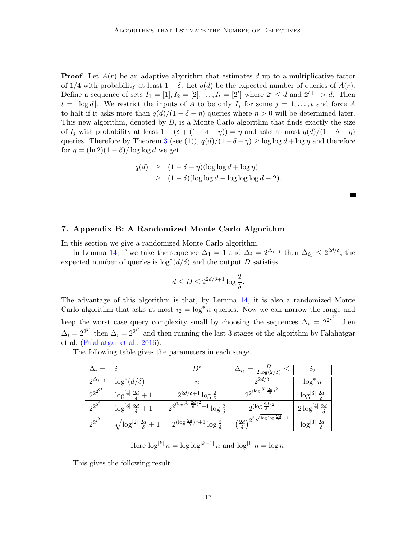**Proof** Let  $A(r)$  be an adaptive algorithm that estimates d up to a multiplicative factor of 1/4 with probability at least  $1 - \delta$ . Let  $q(d)$  be the expected number of queries of  $A(r)$ . Define a sequence of sets  $I_1 = [1], I_2 = [2], \ldots, I_t = [2^t]$  where  $2^t \leq d$  and  $2^{t+1} > d$ . Then  $t = |\log d|$ . We restrict the inputs of A to be only  $I_j$  for some  $j = 1, \ldots, t$  and force A to halt if it asks more than  $q(d)/(1 - \delta - \eta)$  queries where  $\eta > 0$  will be determined later. This new algorithm, denoted by  $B$ , is a Monte Carlo algorithm that finds exactly the size of  $I_j$  with probability at least  $1 - (\delta + (1 - \delta - \eta)) = \eta$  and asks at most  $q(d)/(1 - \delta - \eta)$ queries. Therefore by Theorem [3](#page-7-1) (see [\(1\)](#page-7-2)),  $q(d)/(1 - \delta - \eta) \ge \log \log d + \log \eta$  and therefore for  $\eta = (\ln 2)(1 - \delta)/\log \log d$  we get

$$
q(d) \ge (1 - \delta - \eta)(\log \log d + \log \eta)
$$
  
 
$$
\ge (1 - \delta)(\log \log d - \log \log \log d - 2).
$$

# 7. Appendix B: A Randomized Monte Carlo Algorithm

In this section we give a randomized Monte Carlo algorithm.

In Lemma [14,](#page-10-1) if we take the sequence  $\Delta_1 = 1$  and  $\Delta_i = 2^{\Delta_{i-1}}$  then  $\Delta_{i_1} \leq 2^{2d/\delta}$ , the expected number of queries is  $\log^*(d/\delta)$  and the output D satisfies

$$
d \leq D \leq 2^{2d/\delta + 1} \log \frac{2}{\delta}.
$$

The advantage of this algorithm is that, by Lemma [14,](#page-10-1) it is also a randomized Monte Carlo algorithm that asks at most  $i_2 = \log^* n$  queries. Now we can narrow the range and keep the worst case query complexity small by choosing the sequences  $\Delta_i = 2^{2^{2^{2}}i}$  then  $\Delta_i = 2^{2^{2^i}}$  then  $\Delta_i = 2^{2^{i^2}}$  and then running the last 3 stages of the algorithm by Falahatgar et al. [\(Falahatgar et al.,](#page-12-9) [2016\)](#page-12-9).

The following table gives the parameters in each stage.

| $\Delta_i =$        | $\imath_1$                         | D*                                                                 | $\Delta_{i_1}$<br>$=$ $\frac{1}{2 \log(2/\delta)}$                               | $i_{2}$                         |
|---------------------|------------------------------------|--------------------------------------------------------------------|----------------------------------------------------------------------------------|---------------------------------|
| $2^{\Delta_{i-1}}$  | $\log^*(d/\delta)$                 | $\boldsymbol{n}$                                                   | $2^{2d/\delta}$                                                                  | $\log^* n$                      |
| $2^{2^{2^{2^{i}}}}$ | $\log^{[4]} \frac{2d}{\delta} + 1$ | $2^{2d/\delta+1}\log\frac{2}{\delta}$                              | $2^{2^{(\log^{[3]}\frac{2d}{\delta})^2}}$                                        | $\log^{[3]} \frac{2d}{\delta}$  |
| $2^{2^{2^{i}}}$     | $\log^{[3]} \frac{2d}{\delta} + 1$ | $2^{2^{(\log^{[3]}\frac{2d}{\delta})^2}+1}\log^{\frac{2}{\delta}}$ | $2(\log \frac{2d}{\delta})^2$                                                    | $2\log^{[4]} \frac{2d}{\delta}$ |
| $2^{2^{i^2}}$       | $\log^{[2]} \frac{2d}{\delta} + 1$ | $2^{(\log \frac{2d}{\delta})^2+1} \log \frac{2}{\delta}$           | $\int \left(\frac{2d}{\delta}\right)^{2} \sqrt{\log \log \frac{2d}{\delta}} + 1$ | $\log^{[3]} \frac{2d}{\delta}$  |
|                     | F11                                | $\Gamma$ $\Gamma$ $\Gamma$ $\Gamma$ $\Gamma$ $\Gamma$ $\Gamma$     | $F \rightarrow 1$                                                                |                                 |

Here  $\log^{k} n = \log \log^{k-1} n$  and  $\log^{1} n = \log n$ .

This gives the following result.